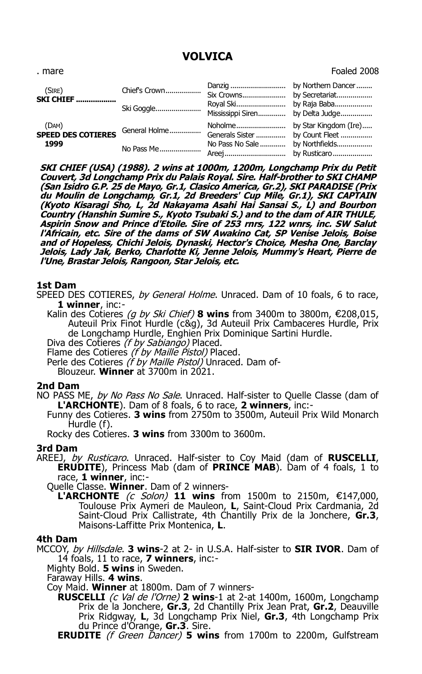## **VOLVICA**

| . mare                      |               | Foaled 2008 |
|-----------------------------|---------------|-------------|
| (SIRE)<br><b>SKI CHIEF </b> | Chief's Crown |             |
|                             |               |             |

(DAM) **SPEED DES COTIERES** General Holme................ Noholme......................... by Star Kingdom (Ire)..... Generals Sister ............... by Count Fleet ................  **1999** No Pass Me..................... No Pass No Sale............. by Northfields.................. Areej............................... by Rusticaro....................

**SKI CHIEF (USA) (1988). 2 wins at 1000m, 1200m, Longchamp Prix du Petit Couvert, 3d Longchamp Prix du Palais Royal. Sire. Half-brother to SKI CHAMP (San Isidro G.P. 25 de Mayo, Gr.1, Clasico America, Gr.2), SKI PARADISE (Prix du Moulin de Longchamp, Gr.1, 2d Breeders' Cup Mile, Gr.1), SKI CAPTAIN (Kyoto Kisaragi Sho, L, 2d Nakayama Asahi Hai Sansai S., L) and Bourbon Country (Hanshin Sumire S., Kyoto Tsubaki S.) and to the dam of AIR THULE, Aspirin Snow and Prince d'Etoile. Sire of 253 rnrs, 122 wnrs, inc. SW Salut l'Africain, etc. Sire of the dams of SW Awakino Cat, SP Venise Jelois, Boise and of Hopeless, Chichi Jelois, Dynaski, Hector's Choice, Mesha One, Barclay Jelois, Lady Jak, Berko, Charlotte Ki, Jenne Jelois, Mummy's Heart, Pierre de l'Une, Brastar Jelois, Rangoon, Star Jelois, etc.**

### **1st Dam**

SPEED DES COTIERES, by General Holme. Unraced. Dam of 10 foals, 6 to race, **1 winner**, inc:-

Kalin des Cotieres (g by Ski Chief) 8 wins from 3400m to 3800m, €208,015, Auteuil Prix Finot Hurdle (c&g), 3d Auteuil Prix Cambaceres Hurdle, Prix de Longchamp Hurdle, Enghien Prix Dominique Sartini Hurdle.

Diva des Cotieres (f by Sabiango) Placed.

Flame des Cotieres (f by Maille Pistol) Placed.

Perle des Cotieres (f by Maille Pistol) Unraced. Dam of-

Blouzeur. **Winner** at 3700m in 2021.

#### **2nd Dam**

NO PASS ME, *by No Pass No Sale*. Unraced. Half-sister to Quelle Classe (dam of **L'ARCHONTE**). Dam of 8 foals, 6 to race, **2 winners**, inc:-

Funny des Cotieres. **3 wins** from 2750m to 3500m, Auteuil Prix Wild Monarch Hurdle (f).

Rocky des Cotieres. **3 wins** from 3300m to 3600m.

#### **3rd Dam**

AREEJ, by Rusticaro. Unraced. Half-sister to Coy Maid (dam of **RUSCELLI**, **ERUDITE**), Princess Mab (dam of **PRINCE MAB**). Dam of 4 foals, 1 to race, **1 winner**, inc:-

Quelle Classe. **Winner**. Dam of 2 winners-

**L'ARCHONTE** (c Solon) **11 wins** from 1500m to 2150m, €147,000, Toulouse Prix Aymeri de Mauleon, **L**, Saint-Cloud Prix Cardmania, 2d Saint-Cloud Prix Callistrate, 4th Chantilly Prix de la Jonchere, **Gr.3**, Maisons-Laffitte Prix Montenica, **L**.

#### **4th Dam**

MCCOY, by Hillsdale. **3 wins**-2 at 2- in U.S.A. Half-sister to **SIR IVOR**. Dam of 14 foals, 11 to race, **7 winners**, inc:-

Mighty Bold. **5 wins** in Sweden.

Faraway Hills. **4 wins**.

Coy Maid. **Winner** at 1800m. Dam of 7 winners-

**RUSCELLI** (c Val de l'Orne) **2 wins**-1 at 2-at 1400m, 1600m, Longchamp Prix de la Jonchere, **Gr.3**, 2d Chantilly Prix Jean Prat, **Gr.2**, Deauville Prix Ridgway, **L**, 3d Longchamp Prix Niel, **Gr.3**, 4th Longchamp Prix du Prince d'Orange, **Gr.3**. Sire.

**ERUDITE** (f Green Dancer) **5 wins** from 1700m to 2200m, Gulfstream

# (SIRE)